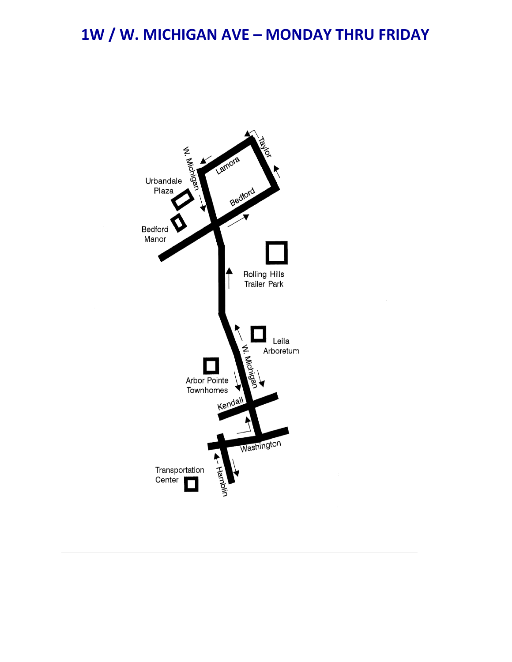## 1W / W. MICHIGAN AVE - MONDAY THRU FRIDAY

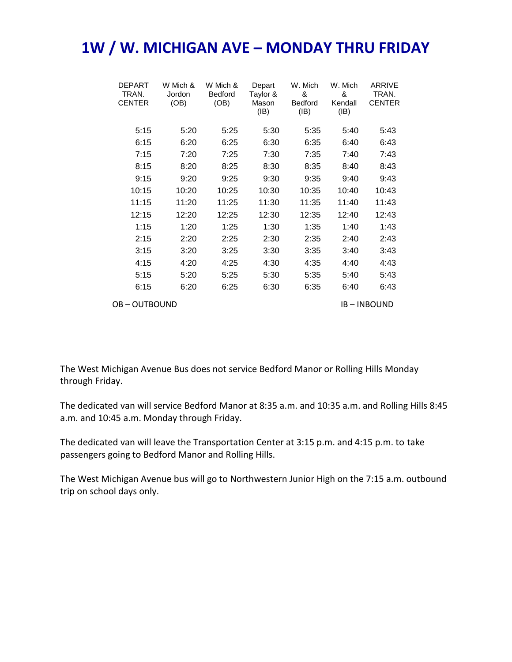## **1W / W. MICHIGAN AVE – MONDAY THRU FRIDAY**

|                    | <b>DEPART</b><br>TRAN.<br><b>CENTER</b> | W Mich &<br>Jordon<br>(OB) | W Mich &<br><b>Bedford</b><br>(OB) | Depart<br>Taylor &<br>Mason<br>(IB) | W. Mich<br>&<br><b>Bedford</b><br>(IB) | W. Mich<br>&<br>Kendall<br>(IB) | ARRIVE<br>TRAN.<br><b>CENTER</b> |
|--------------------|-----------------------------------------|----------------------------|------------------------------------|-------------------------------------|----------------------------------------|---------------------------------|----------------------------------|
|                    | 5:15                                    | 5:20                       | 5:25                               | 5:30                                | 5:35                                   | 5:40                            | 5:43                             |
|                    | 6:15                                    | 6:20                       | 6:25                               | 6:30                                | 6:35                                   | 6:40                            | 6:43                             |
|                    | 7:15                                    | 7:20                       | 7:25                               | 7:30                                | 7:35                                   | 7:40                            | 7:43                             |
|                    | 8:15                                    | 8:20                       | 8:25                               | 8:30                                | 8:35                                   | 8:40                            | 8:43                             |
|                    | 9:15                                    | 9:20                       | 9:25                               | 9:30                                | 9:35                                   | 9:40                            | 9:43                             |
|                    | 10:15                                   | 10:20                      | 10:25                              | 10:30                               | 10:35                                  | 10:40                           | 10:43                            |
|                    | 11:15                                   | 11:20                      | 11:25                              | 11:30                               | 11:35                                  | 11:40                           | 11:43                            |
|                    | 12:15                                   | 12:20                      | 12:25                              | 12:30                               | 12:35                                  | 12:40                           | 12:43                            |
|                    | 1:15                                    | 1:20                       | 1:25                               | 1:30                                | 1:35                                   | 1:40                            | 1:43                             |
|                    | 2:15                                    | 2:20                       | 2:25                               | 2:30                                | 2:35                                   | 2:40                            | 2:43                             |
|                    | 3:15                                    | 3:20                       | 3:25                               | 3:30                                | 3:35                                   | 3:40                            | 3:43                             |
|                    | 4:15                                    | 4:20                       | 4:25                               | 4:30                                | 4:35                                   | 4:40                            | 4:43                             |
|                    | 5:15                                    | 5:20                       | 5:25                               | 5:30                                | 5:35                                   | 5:40                            | 5:43                             |
|                    | 6:15                                    | 6:20                       | 6:25                               | 6:30                                | 6:35                                   | 6:40                            | 6:43                             |
| <b>OB-OUTBOUND</b> |                                         |                            |                                    |                                     |                                        |                                 | <b>IB-INBOUND</b>                |

The West Michigan Avenue Bus does not service Bedford Manor or Rolling Hills Monday through Friday.

The dedicated van will service Bedford Manor at 8:35 a.m. and 10:35 a.m. and Rolling Hills 8:45 a.m. and 10:45 a.m. Monday through Friday.

The dedicated van will leave the Transportation Center at 3:15 p.m. and 4:15 p.m. to take passengers going to Bedford Manor and Rolling Hills.

The West Michigan Avenue bus will go to Northwestern Junior High on the 7:15 a.m. outbound trip on school days only.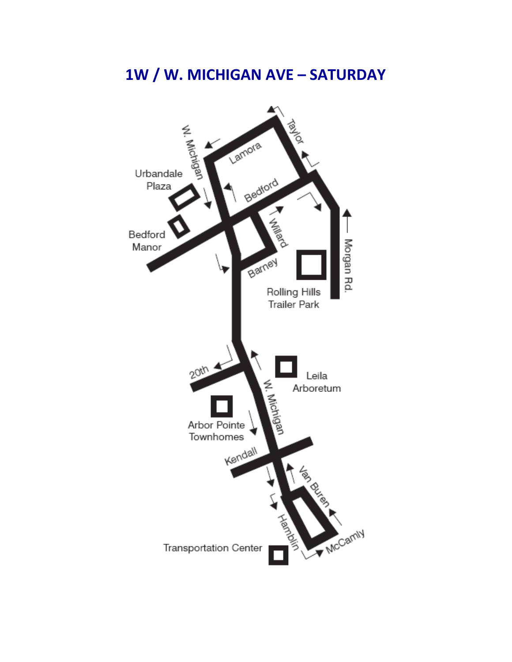## 1W / W. MICHIGAN AVE - SATURDAY